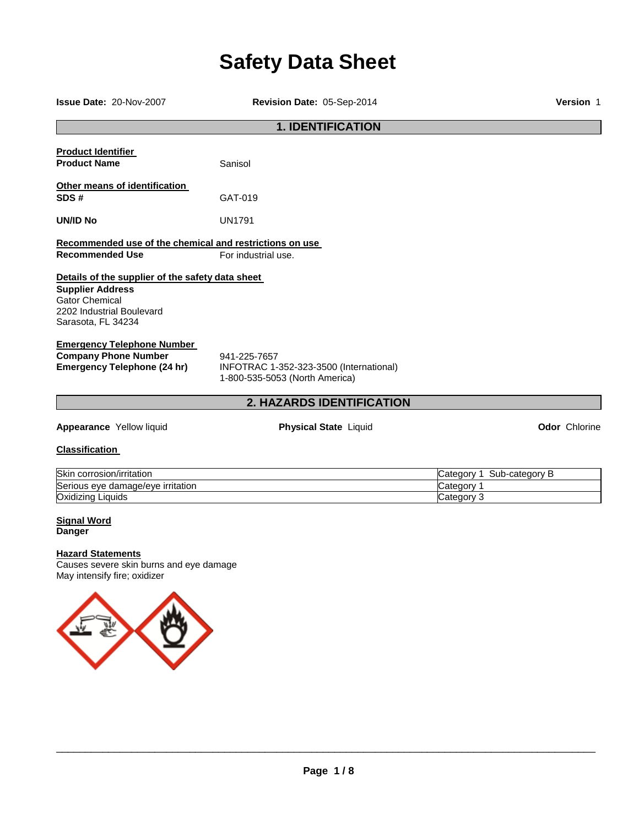# **Safety Data Sheet**

**Issue Date:** 20-Nov-2007 **Revision Date:** 05-Sep-2014 **Version** 1 **1. IDENTIFICATION Product Identifier Product Name Sanisol Other means of identification SDS #** GAT-019 **UN/ID No** UN1791 **Recommended use of the chemical and restrictions on use Recommended Use For industrial use. Details of the supplier of the safety data sheet Supplier Address** Gator Chemical 2202 Industrial Boulevard Sarasota, FL 34234 **Emergency Telephone Number Company Phone Number** 941-225-7657<br> **Emergency Telephone (24 hr)** INFOTRAC 1-**Emergency Telephone (24 hr)** INFOTRAC 1-352-323-3500 (International) 1-800-535-5053 (North America)

## **2. HAZARDS IDENTIFICATION**

**Appearance** Yellow liquid **Physical State** Liquid **Odor** Chlorine

## **Classification**

| <b>Skin</b><br>corrosion/irritation    | ∙categorv<br>ategoryٽ<br>Sub |
|----------------------------------------|------------------------------|
| Serious eve<br>e damage/eve irritation | ategoryٽ                     |
| Oxidizing<br>Liquids                   | Category                     |

#### **Signal Word Danger**

#### **Hazard Statements**

Causes severe skin burns and eye damage May intensify fire; oxidizer

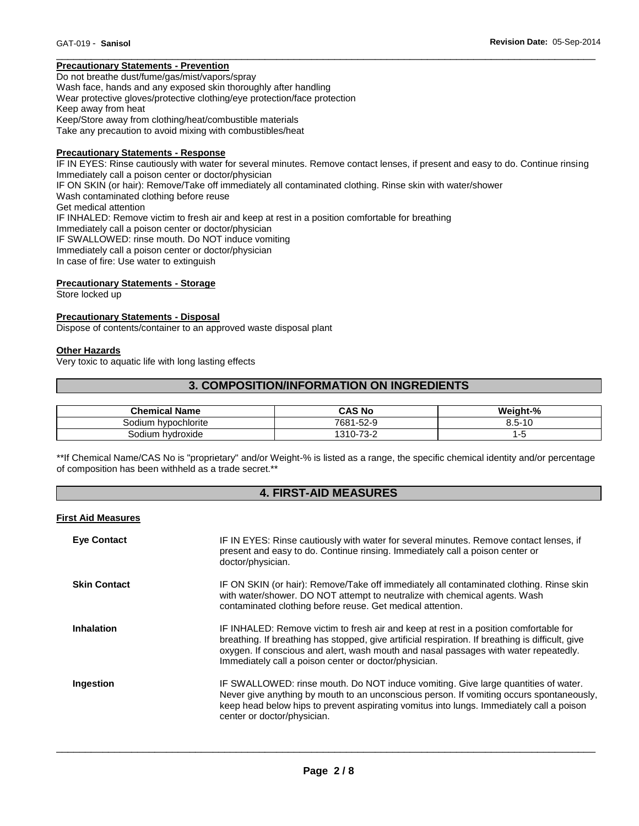## **Precautionary Statements - Prevention**

Do not breathe dust/fume/gas/mist/vapors/spray Wash face, hands and any exposed skin thoroughly after handling Wear protective gloves/protective clothing/eye protection/face protection Keep away from heat Keep/Store away from clothing/heat/combustible materials Take any precaution to avoid mixing with combustibles/heat

#### **Precautionary Statements - Response**

IF IN EYES: Rinse cautiously with water for several minutes. Remove contact lenses, if present and easy to do. Continue rinsing Immediately call a poison center or doctor/physician IF ON SKIN (or hair): Remove/Take off immediately all contaminated clothing. Rinse skin with water/shower Wash contaminated clothing before reuse Get medical attention IF INHALED: Remove victim to fresh air and keep at rest in a position comfortable for breathing Immediately call a poison center or doctor/physician IF SWALLOWED: rinse mouth. Do NOT induce vomiting Immediately call a poison center or doctor/physician In case of fire: Use water to extinguish

\_\_\_\_\_\_\_\_\_\_\_\_\_\_\_\_\_\_\_\_\_\_\_\_\_\_\_\_\_\_\_\_\_\_\_\_\_\_\_\_\_\_\_\_\_\_\_\_\_\_\_\_\_\_\_\_\_\_\_\_\_\_\_\_\_\_\_\_\_\_\_\_\_\_\_\_\_\_\_\_\_\_\_\_\_\_\_\_\_\_\_\_\_

## **Precautionary Statements - Storage**

Store locked up

#### **Precautionary Statements - Disposal**

Dispose of contents/container to an approved waste disposal plant

#### **Other Hazards**

Very toxic to aquatic life with long lasting effects

## **3. COMPOSITION/INFORMATION ON INGREDIENTS**

| <b>Chemical Name</b>   | CAS No                                       | Weight-%                    |
|------------------------|----------------------------------------------|-----------------------------|
| hypochlorite<br>sodium | $7681 -$<br>$-52-9$                          | $3.5 - 7$<br>$\overline{A}$ |
| Sodium hvdroxide       | $\overline{\phantom{a}}$<br>1310-7.<br>ے-ت ′ | ີ                           |

\*\*If Chemical Name/CAS No is "proprietary" and/or Weight-% is listed as a range, the specific chemical identity and/or percentage of composition has been withheld as a trade secret.\*\*

## **4. FIRST-AID MEASURES**

#### **First Aid Measures**

| <b>Eye Contact</b>  | IF IN EYES: Rinse cautiously with water for several minutes. Remove contact lenses, if<br>present and easy to do. Continue rinsing. Immediately call a poison center or<br>doctor/physician.                                                                                                                                                |
|---------------------|---------------------------------------------------------------------------------------------------------------------------------------------------------------------------------------------------------------------------------------------------------------------------------------------------------------------------------------------|
| <b>Skin Contact</b> | IF ON SKIN (or hair): Remove/Take off immediately all contaminated clothing. Rinse skin<br>with water/shower. DO NOT attempt to neutralize with chemical agents. Wash<br>contaminated clothing before reuse. Get medical attention.                                                                                                         |
| <b>Inhalation</b>   | IF INHALED: Remove victim to fresh air and keep at rest in a position comfortable for<br>breathing. If breathing has stopped, give artificial respiration. If breathing is difficult, give<br>oxygen. If conscious and alert, wash mouth and nasal passages with water repeatedly.<br>Immediately call a poison center or doctor/physician. |
| Ingestion           | IF SWALLOWED: rinse mouth. Do NOT induce vomiting. Give large quantities of water.<br>Never give anything by mouth to an unconscious person. If vomiting occurs spontaneously,<br>keep head below hips to prevent aspirating vomitus into lungs. Immediately call a poison<br>center or doctor/physician.                                   |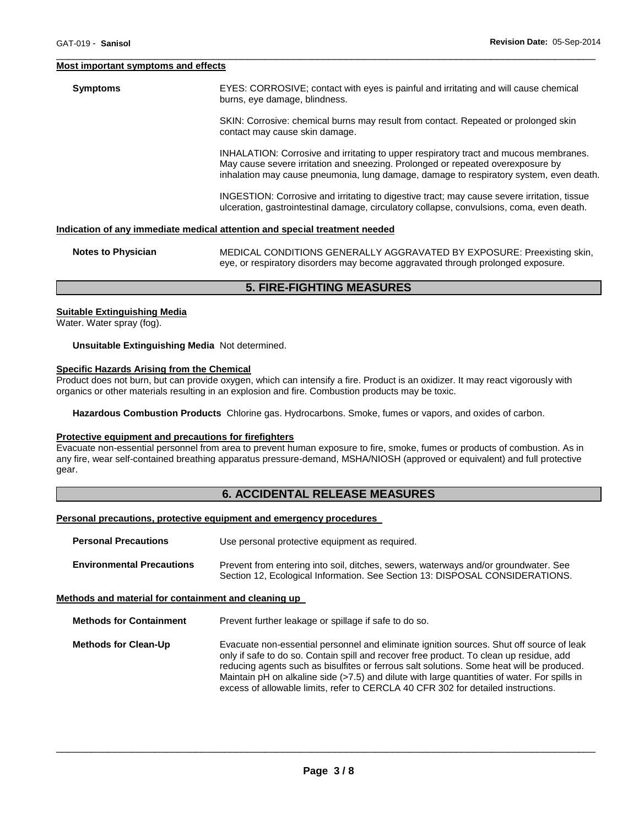#### **Most important symptoms and effects**

**Symptoms** EYES: CORROSIVE; contact with eyes is painful and irritating and will cause chemical burns, eye damage, blindness.

\_\_\_\_\_\_\_\_\_\_\_\_\_\_\_\_\_\_\_\_\_\_\_\_\_\_\_\_\_\_\_\_\_\_\_\_\_\_\_\_\_\_\_\_\_\_\_\_\_\_\_\_\_\_\_\_\_\_\_\_\_\_\_\_\_\_\_\_\_\_\_\_\_\_\_\_\_\_\_\_\_\_\_\_\_\_\_\_\_\_\_\_\_

SKIN: Corrosive: chemical burns may result from contact. Repeated or prolonged skin contact may cause skin damage.

INHALATION: Corrosive and irritating to upper respiratory tract and mucous membranes. May cause severe irritation and sneezing. Prolonged or repeated overexposure by inhalation may cause pneumonia, lung damage, damage to respiratory system, even death.

INGESTION: Corrosive and irritating to digestive tract; may cause severe irritation, tissue ulceration, gastrointestinal damage, circulatory collapse, convulsions, coma, even death.

## **Indication of any immediate medical attention and special treatment needed**

| <b>Notes to Physician</b> | MEDICAL CONDITIONS GENERALLY AGGRAVATED BY EXPOSURE: Preexisting skin,          |  |  |
|---------------------------|---------------------------------------------------------------------------------|--|--|
|                           | eye, or respiratory disorders may become aggravated through prolonged exposure. |  |  |

## **5. FIRE-FIGHTING MEASURES**

#### **Suitable Extinguishing Media**

Water. Water spray (fog).

**Unsuitable Extinguishing Media** Not determined.

#### **Specific Hazards Arising from the Chemical**

Product does not burn, but can provide oxygen, which can intensify a fire. Product is an oxidizer. It may react vigorously with organics or other materials resulting in an explosion and fire. Combustion products may be toxic.

**Hazardous Combustion Products** Chlorine gas. Hydrocarbons. Smoke, fumes or vapors, and oxides of carbon.

#### **Protective equipment and precautions for firefighters**

Evacuate non-essential personnel from area to prevent human exposure to fire, smoke, fumes or products of combustion. As in any fire, wear self-contained breathing apparatus pressure-demand, MSHA/NIOSH (approved or equivalent) and full protective gear.

## **6. ACCIDENTAL RELEASE MEASURES**

#### **Personal precautions, protective equipment and emergency procedures**

| <b>Personal Precautions</b>      | Use personal protective equipment as required.                                                                                                                      |  |
|----------------------------------|---------------------------------------------------------------------------------------------------------------------------------------------------------------------|--|
| <b>Environmental Precautions</b> | Prevent from entering into soil, ditches, sewers, waterways and/or groundwater. See<br>Section 12, Ecological Information. See Section 13: DISPOSAL CONSIDERATIONS. |  |

## **Methods and material for containment and cleaning up**

**Methods for Containment** Prevent further leakage or spillage if safe to do so.

**Methods for Clean-Up Evacuate non-essential personnel and eliminate ignition sources. Shut off source of leak** only if safe to do so. Contain spill and recover free product. To clean up residue, add reducing agents such as bisulfites or ferrous salt solutions. Some heat will be produced. Maintain pH on alkaline side (>7.5) and dilute with large quantities of water. For spills in excess of allowable limits, refer to CERCLA 40 CFR 302 for detailed instructions.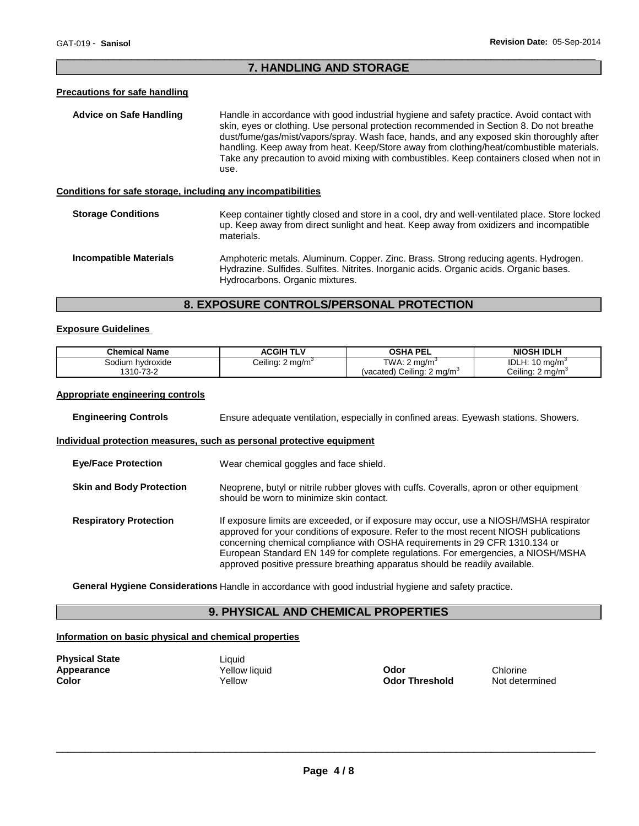## \_\_\_\_\_\_\_\_\_\_\_\_\_\_\_\_\_\_\_\_\_\_\_\_\_\_\_\_\_\_\_\_\_\_\_\_\_\_\_\_\_\_\_\_\_\_\_\_\_\_\_\_\_\_\_\_\_\_\_\_\_\_\_\_\_\_\_\_\_\_\_\_\_\_\_\_\_\_\_\_\_\_\_\_\_\_\_\_\_\_\_\_\_ **7. HANDLING AND STORAGE**

## **Precautions for safe handling**

| Advice on Safe Handling                                      | Handle in accordance with good industrial hygiene and safety practice. Avoid contact with<br>skin, eyes or clothing. Use personal protection recommended in Section 8. Do not breathe<br>dust/fume/gas/mist/vapors/spray. Wash face, hands, and any exposed skin thoroughly after<br>handling. Keep away from heat. Keep/Store away from clothing/heat/combustible materials.<br>Take any precaution to avoid mixing with combustibles. Keep containers closed when not in<br>use. |
|--------------------------------------------------------------|------------------------------------------------------------------------------------------------------------------------------------------------------------------------------------------------------------------------------------------------------------------------------------------------------------------------------------------------------------------------------------------------------------------------------------------------------------------------------------|
| Conditions for safe storage, including any incompatibilities |                                                                                                                                                                                                                                                                                                                                                                                                                                                                                    |
| <b>Storage Conditions</b>                                    | Keep container tightly closed and store in a cool, dry and well-ventilated place. Store locked<br>up. Keep away from direct sunlight and heat. Keep away from oxidizers and incompatible<br>materials.                                                                                                                                                                                                                                                                             |
| <b>Incompatible Materials</b>                                | Amphoteric metals. Aluminum. Copper. Zinc. Brass. Strong reducing agents. Hydrogen.                                                                                                                                                                                                                                                                                                                                                                                                |

## **8. EXPOSURE CONTROLS/PERSONAL PROTECTION**

Hydrocarbons. Organic mixtures.

Hydrazine. Sulfides. Sulfites. Nitrites. Inorganic acids. Organic acids. Organic bases.

## **Exposure Guidelines**

| <b>Chemical Name</b> | <b>ACGIH TLV</b>             | <b>OSHA PEL</b>                        | <b>NIOSH IDLH</b>            |
|----------------------|------------------------------|----------------------------------------|------------------------------|
| Sodium hydroxide     | Ceiling: 2 mg/m <sup>3</sup> | TWA: 2 $ma/m3$                         | IDLH: $10 \text{ mg/m}^3$    |
| 1310-73-2            |                              | (vacated) Ceiling: 2 mg/m <sup>3</sup> | Ceiling: 2 mg/m <sup>3</sup> |

## **Appropriate engineering controls**

| <b>Engineering Controls</b>     | Ensure adequate ventilation, especially in confined areas. Eyewash stations. Showers.                                                                                                                                                                                                                                                                                                                                             |  |
|---------------------------------|-----------------------------------------------------------------------------------------------------------------------------------------------------------------------------------------------------------------------------------------------------------------------------------------------------------------------------------------------------------------------------------------------------------------------------------|--|
|                                 | Individual protection measures, such as personal protective equipment                                                                                                                                                                                                                                                                                                                                                             |  |
| <b>Eve/Face Protection</b>      | Wear chemical goggles and face shield.                                                                                                                                                                                                                                                                                                                                                                                            |  |
| <b>Skin and Body Protection</b> | Neoprene, butyl or nitrile rubber gloves with cuffs. Coveralls, apron or other equipment<br>should be worn to minimize skin contact.                                                                                                                                                                                                                                                                                              |  |
| <b>Respiratory Protection</b>   | If exposure limits are exceeded, or if exposure may occur, use a NIOSH/MSHA respirator<br>approved for your conditions of exposure. Refer to the most recent NIOSH publications<br>concerning chemical compliance with OSHA requirements in 29 CFR 1310.134 or<br>European Standard EN 149 for complete regulations. For emergencies, a NIOSH/MSHA<br>approved positive pressure breathing apparatus should be readily available. |  |

**General Hygiene Considerations** Handle in accordance with good industrial hygiene and safety practice.

## **9. PHYSICAL AND CHEMICAL PROPERTIES**

## **Information on basic physical and chemical properties**

| <b>Physical State</b> |  |
|-----------------------|--|
| <b>Appearance</b>     |  |
| Color                 |  |

Liquid

**Applicative Vellow liquid**<br> **Applicative Codor Threshold**<br> **Codor Threshold** Mot determined **Odor Threshold**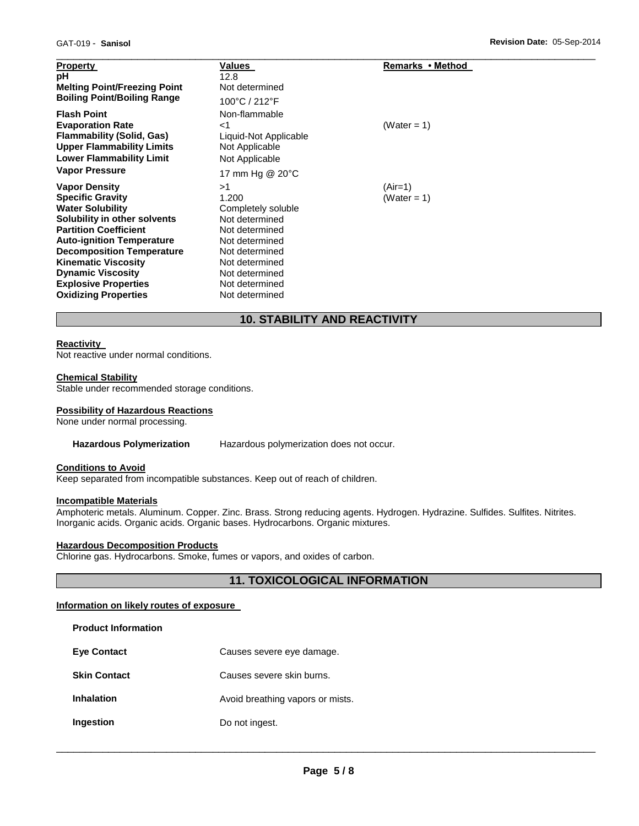| <b>Property</b><br>рH<br><b>Melting Point/Freezing Point</b><br><b>Boiling Point/Boiling Range</b>                                                       | Values<br>12.8<br>Not determined<br>100°C / 212°F                                      | Remarks • Method |
|----------------------------------------------------------------------------------------------------------------------------------------------------------|----------------------------------------------------------------------------------------|------------------|
| <b>Flash Point</b><br><b>Evaporation Rate</b><br><b>Flammability (Solid, Gas)</b><br><b>Upper Flammability Limits</b><br><b>Lower Flammability Limit</b> | Non-flammable<br>${<}1$<br>Liquid-Not Applicable<br>Not Applicable<br>Not Applicable   | (Water = 1)      |
| <b>Vapor Pressure</b><br><b>Vapor Density</b>                                                                                                            | 17 mm Hg @ 20°C<br>>1                                                                  | $(Air=1)$        |
| <b>Specific Gravity</b><br><b>Water Solubility</b>                                                                                                       | 1.200<br>Completely soluble                                                            | (Water = 1)      |
| Solubility in other solvents<br><b>Partition Coefficient</b><br><b>Auto-ignition Temperature</b>                                                         | Not determined<br>Not determined<br>Not determined                                     |                  |
| <b>Decomposition Temperature</b><br><b>Kinematic Viscosity</b><br><b>Dynamic Viscosity</b><br><b>Explosive Properties</b><br><b>Oxidizing Properties</b> | Not determined<br>Not determined<br>Not determined<br>Not determined<br>Not determined |                  |

## **10. STABILITY AND REACTIVITY**

## **Reactivity**

Not reactive under normal conditions.

## **Chemical Stability**

Stable under recommended storage conditions.

#### **Possibility of Hazardous Reactions**

None under normal processing.

#### **Hazardous Polymerization** Hazardous polymerization does not occur.

## **Conditions to Avoid**

Keep separated from incompatible substances. Keep out of reach of children.

## **Incompatible Materials**

**Product Information** 

Amphoteric metals. Aluminum. Copper. Zinc. Brass. Strong reducing agents. Hydrogen. Hydrazine. Sulfides. Sulfites. Nitrites. Inorganic acids. Organic acids. Organic bases. Hydrocarbons. Organic mixtures.

## **Hazardous Decomposition Products**

Chlorine gas. Hydrocarbons. Smoke, fumes or vapors, and oxides of carbon.

## **11. TOXICOLOGICAL INFORMATION**

## **Information on likely routes of exposure**

| Causes severe eye damage.        |
|----------------------------------|
| Causes severe skin burns.        |
| Avoid breathing vapors or mists. |
| Do not ingest.                   |
|                                  |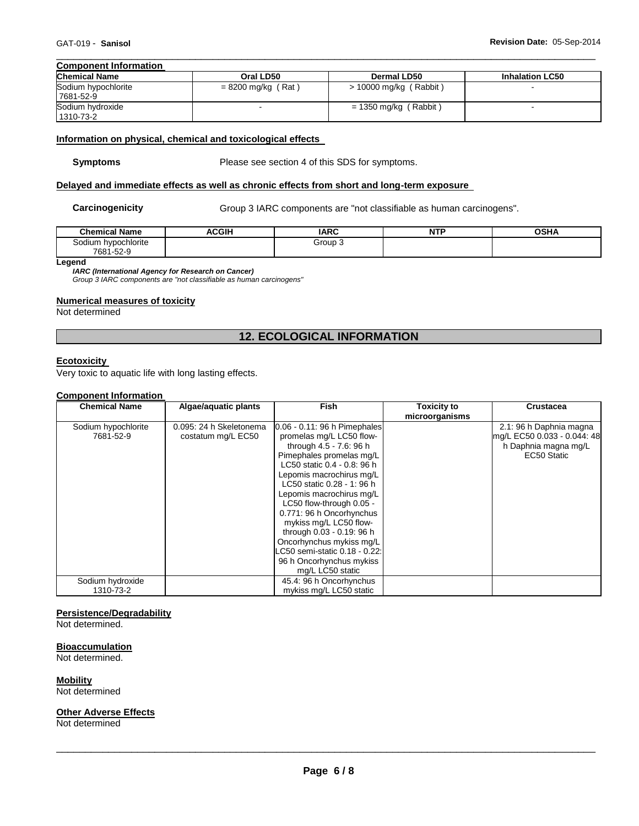#### \_\_\_\_\_\_\_\_\_\_\_\_\_\_\_\_\_\_\_\_\_\_\_\_\_\_\_\_\_\_\_\_\_\_\_\_\_\_\_\_\_\_\_\_\_\_\_\_\_\_\_\_\_\_\_\_\_\_\_\_\_\_\_\_\_\_\_\_\_\_\_\_\_\_\_\_\_\_\_\_\_\_\_\_\_\_\_\_\_\_\_\_\_ **Component Information**

| <b>Chemical Name</b>             | Oral LD50            | Dermal LD50              | <b>Inhalation LC50</b> |
|----------------------------------|----------------------|--------------------------|------------------------|
| Sodium hypochlorite<br>7681-52-9 | $= 8200$ mg/kg (Rat) | $>$ 10000 mg/kg (Rabbit) |                        |
| Sodium hydroxide<br>1310-73-2    |                      | $= 1350$ mg/kg (Rabbit)  |                        |

## **Information on physical, chemical and toxicological effects**

**Symptoms** Please see section 4 of this SDS for symptoms.

## **Delayed and immediate effects as well as chronic effects from short and long-term exposure**

Carcinogenicity **Group 3 IARC** components are "not classifiable as human carcinogens".

| <b>Chemical Name</b> | <b>ACGIH</b> | <b>IARC</b> | <b>NTF</b> | <b>OCUA</b><br>п, |
|----------------------|--------------|-------------|------------|-------------------|
| Sodium hypochlorite  |              | Group 3     |            |                   |
| 7681-52-9            |              |             |            |                   |

**Legend** 

*IARC (International Agency for Research on Cancer)*

*Group 3 IARC components are "not classifiable as human carcinogens"* 

## **Numerical measures of toxicity**

Not determined

## **12. ECOLOGICAL INFORMATION**

## **Ecotoxicity**

Very toxic to aquatic life with long lasting effects.

## **Component Information**

| <b>Chemical Name</b> | Algae/aquatic plants    | <b>Fish</b>                     | <b>Toxicity to</b> | <b>Crustacea</b>            |
|----------------------|-------------------------|---------------------------------|--------------------|-----------------------------|
|                      |                         |                                 | microorganisms     |                             |
| Sodium hypochlorite  | 0.095: 24 h Skeletonema | $0.06 - 0.11$ : 96 h Pimephales |                    | 2.1: 96 h Daphnia magna     |
| 7681-52-9            | costatum mg/L EC50      | promelas mg/L LC50 flow-        |                    | mg/L EC50 0.033 - 0.044: 48 |
|                      |                         | through 4.5 - 7.6: 96 h         |                    | h Daphnia magna mg/L        |
|                      |                         | Pimephales promelas mg/L        |                    | EC50 Static                 |
|                      |                         | LC50 static 0.4 - 0.8: 96 h     |                    |                             |
|                      |                         | Lepomis macrochirus mg/L        |                    |                             |
|                      |                         | LC50 static 0.28 - 1: 96 h      |                    |                             |
|                      |                         | Lepomis macrochirus mg/L        |                    |                             |
|                      |                         | LC50 flow-through 0.05 -        |                    |                             |
|                      |                         | 0.771: 96 h Oncorhynchus        |                    |                             |
|                      |                         | mykiss mg/L LC50 flow-          |                    |                             |
|                      |                         | through 0.03 - 0.19: 96 h       |                    |                             |
|                      |                         | Oncorhynchus mykiss mg/L        |                    |                             |
|                      |                         | LC50 semi-static 0.18 - 0.22:   |                    |                             |
|                      |                         | 96 h Oncorhynchus mykiss        |                    |                             |
|                      |                         | mg/L LC50 static                |                    |                             |
| Sodium hydroxide     |                         | 45.4: 96 h Oncorhynchus         |                    |                             |
| 1310-73-2            |                         | mykiss mg/L LC50 static         |                    |                             |

## **Persistence/Degradability**

Not determined.

#### **Bioaccumulation**

Not determined.

**Mobility**

Not determined

## **Other Adverse Effects**

Not determined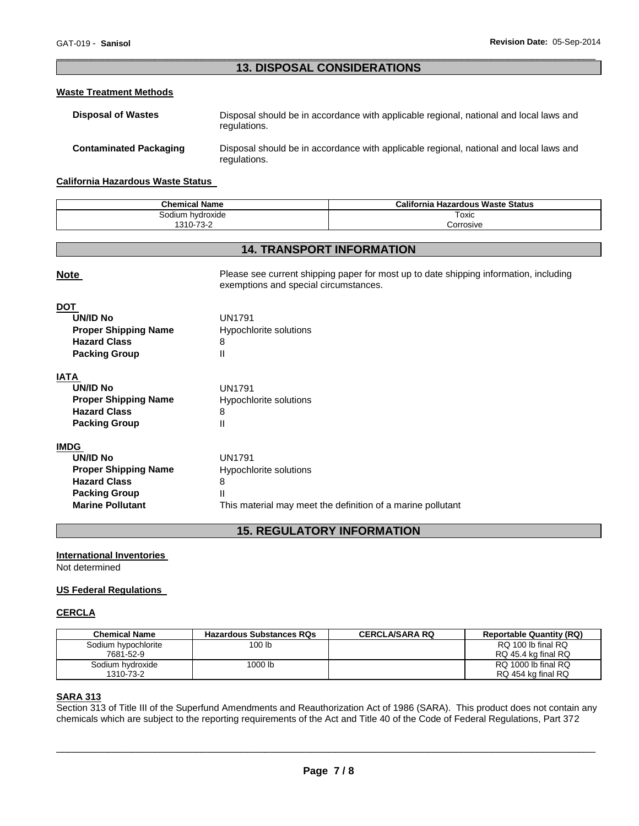## \_\_\_\_\_\_\_\_\_\_\_\_\_\_\_\_\_\_\_\_\_\_\_\_\_\_\_\_\_\_\_\_\_\_\_\_\_\_\_\_\_\_\_\_\_\_\_\_\_\_\_\_\_\_\_\_\_\_\_\_\_\_\_\_\_\_\_\_\_\_\_\_\_\_\_\_\_\_\_\_\_\_\_\_\_\_\_\_\_\_\_\_\_ **13. DISPOSAL CONSIDERATIONS**

## **Waste Treatment Methods**

| <b>Disposal of Wastes</b>     | Disposal should be in accordance with applicable regional, national and local laws and<br>regulations. |
|-------------------------------|--------------------------------------------------------------------------------------------------------|
| <b>Contaminated Packaging</b> | Disposal should be in accordance with applicable regional, national and local laws and<br>regulations. |

## **California Hazardous Waste Status**

| <b>Chemical Name</b> | California<br><b>Hazardous Waste Status</b> |
|----------------------|---------------------------------------------|
| Sodium hvdroxide     | Toxic                                       |
| 1310-73-2<br>-10-∠   | corrosive.                                  |

## **14. TRANSPORT INFORMATION**

| <b>Note</b>                 | Please see current shipping paper for most up to date shipping information, including<br>exemptions and special circumstances. |  |
|-----------------------------|--------------------------------------------------------------------------------------------------------------------------------|--|
| <b>DOT</b>                  |                                                                                                                                |  |
| <b>UN/ID No</b>             | <b>UN1791</b>                                                                                                                  |  |
| <b>Proper Shipping Name</b> | Hypochlorite solutions                                                                                                         |  |
| <b>Hazard Class</b>         | 8                                                                                                                              |  |
| <b>Packing Group</b>        | Ш                                                                                                                              |  |
| <b>IATA</b>                 |                                                                                                                                |  |
| <b>UN/ID No</b>             | <b>UN1791</b>                                                                                                                  |  |
| <b>Proper Shipping Name</b> | Hypochlorite solutions                                                                                                         |  |
| <b>Hazard Class</b>         | 8                                                                                                                              |  |
| <b>Packing Group</b>        | Ш                                                                                                                              |  |
| <b>IMDG</b>                 |                                                                                                                                |  |
| <b>UN/ID No</b>             | <b>UN1791</b>                                                                                                                  |  |
| <b>Proper Shipping Name</b> | Hypochlorite solutions                                                                                                         |  |
| <b>Hazard Class</b>         | 8                                                                                                                              |  |
| <b>Packing Group</b>        | Ш                                                                                                                              |  |
| <b>Marine Pollutant</b>     | This material may meet the definition of a marine pollutant                                                                    |  |

## **15. REGULATORY INFORMATION**

## **International Inventories**

Not determined

## **US Federal Regulations**

## **CERCLA**

| <b>Chemical Name</b> | <b>Hazardous Substances RQs</b> | <b>CERCLA/SARA RQ</b> | <b>Reportable Quantity (RQ)</b> |
|----------------------|---------------------------------|-----------------------|---------------------------------|
| Sodium hypochlorite  | 100 lb                          |                       | RQ 100 lb final RQ              |
| 7681-52-9            |                                 |                       | RQ 45.4 kg final RQ             |
| Sodium hydroxide     | 1000 lb                         |                       | RQ 1000 lb final RQ             |
| 1310-73-2            |                                 |                       | RQ 454 kg final RQ              |

## **SARA 313**

Section 313 of Title III of the Superfund Amendments and Reauthorization Act of 1986 (SARA). This product does not contain any chemicals which are subject to the reporting requirements of the Act and Title 40 of the Code of Federal Regulations, Part 372